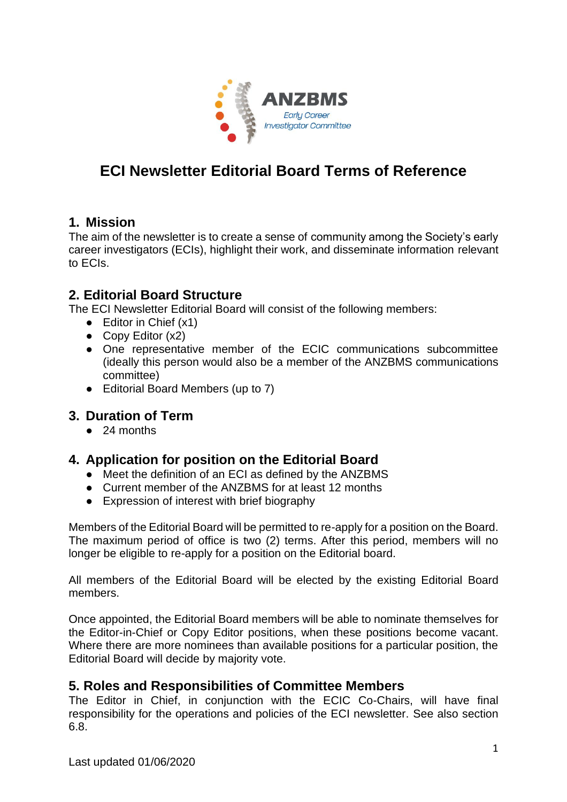

# **ECI Newsletter Editorial Board Terms of Reference**

#### **1. Mission**

The aim of the newsletter is to create a sense of community among the Society's early career investigators (ECIs), highlight their work, and disseminate information relevant to ECIs.

### **2. Editorial Board Structure**

The ECI Newsletter Editorial Board will consist of the following members:

- $\bullet$  Editor in Chief  $(x1)$
- Copy Editor  $(x2)$
- One representative member of the ECIC communications subcommittee (ideally this person would also be a member of the ANZBMS communications committee)
- Editorial Board Members (up to 7)

### **3. Duration of Term**

● 24 months

### **4. Application for position on the Editorial Board**

- Meet the definition of an ECI as defined by the ANZBMS
- Current member of the ANZBMS for at least 12 months
- Expression of interest with brief biography

Members of the Editorial Board will be permitted to re-apply for a position on the Board. The maximum period of office is two (2) terms. After this period, members will no longer be eligible to re-apply for a position on the Editorial board.

All members of the Editorial Board will be elected by the existing Editorial Board members.

Once appointed, the Editorial Board members will be able to nominate themselves for the Editor-in-Chief or Copy Editor positions, when these positions become vacant. Where there are more nominees than available positions for a particular position, the Editorial Board will decide by majority vote.

#### **5. Roles and Responsibilities of Committee Members**

The Editor in Chief, in conjunction with the ECIC Co-Chairs, will have final responsibility for the operations and policies of the ECI newsletter. See also section 6.8.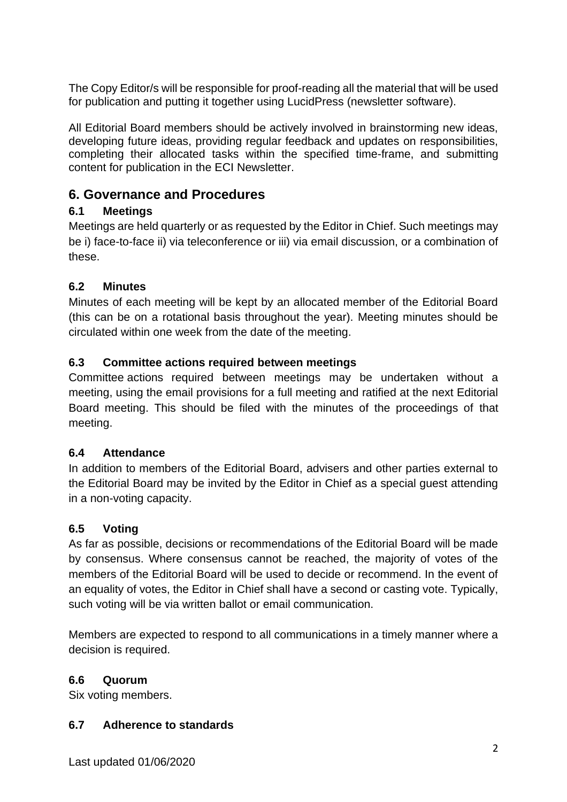The Copy Editor/s will be responsible for proof-reading all the material that will be used for publication and putting it together using LucidPress (newsletter software).

All Editorial Board members should be actively involved in brainstorming new ideas, developing future ideas, providing regular feedback and updates on responsibilities, completing their allocated tasks within the specified time-frame, and submitting content for publication in the ECI Newsletter.

# **6. Governance and Procedures**

### **6.1 Meetings**

Meetings are held quarterly or as requested by the Editor in Chief. Such meetings may be i) face-to-face ii) via teleconference or iii) via email discussion, or a combination of these.

### **6.2 Minutes**

Minutes of each meeting will be kept by an allocated member of the Editorial Board (this can be on a rotational basis throughout the year). Meeting minutes should be circulated within one week from the date of the meeting.

## **6.3 Committee actions required between meetings**

Committee actions required between meetings may be undertaken without a meeting, using the email provisions for a full meeting and ratified at the next Editorial Board meeting. This should be filed with the minutes of the proceedings of that meeting.

### **6.4 Attendance**

In addition to members of the Editorial Board, advisers and other parties external to the Editorial Board may be invited by the Editor in Chief as a special guest attending in a non-voting capacity.

## **6.5 Voting**

As far as possible, decisions or recommendations of the Editorial Board will be made by consensus. Where consensus cannot be reached, the majority of votes of the members of the Editorial Board will be used to decide or recommend. In the event of an equality of votes, the Editor in Chief shall have a second or casting vote. Typically, such voting will be via written ballot or email communication.

Members are expected to respond to all communications in a timely manner where a decision is required.

## **6.6 Quorum**

Six voting members.

### **6.7 Adherence to standards**